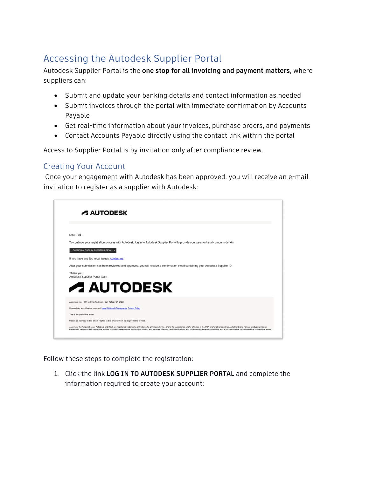## Accessing the Autodesk Supplier Portal

Autodesk Supplier Portal is the **one stop for all invoicing and payment matters**, where suppliers can:

- Submit and update your banking details and contact information as needed
- Submit invoices through the portal with immediate confirmation by Accounts Payable
- Get real-time information about your invoices, purchase orders, and payments
- Contact Accounts Payable directly using the contact link within the portal

Access to Supplier Portal is by invitation only after compliance review.

## Creating Your Account

Once your engagement with Autodesk has been approved, you will receive an e-mail invitation to register as a supplier with Autodesk:

|            | <b>A AUTODESK</b>                                                                                                                    |
|------------|--------------------------------------------------------------------------------------------------------------------------------------|
|            |                                                                                                                                      |
| Dear Ted.  |                                                                                                                                      |
|            | To continue your registration process with Autodesk, log in to Autodesk Supplier Portal to provide your payment and company details. |
|            | LOG IN TO AUTODESK SUPPLIER PORTAL >                                                                                                 |
|            | If you have any technical issues, contact us.                                                                                        |
|            | After your submission has been reviewed and approved, you will receive a confirmation email containing your Autodesk Supplier ID.    |
| Thank you, | Autodesk Supplier Portal team                                                                                                        |
|            | <b>A AUTODESK</b>                                                                                                                    |
|            | Autodesk, Inc. - 111 McInnis Parkway - San Rafael, CA 94903                                                                          |
|            | ® Autodesk, Inc. All rights reserved. Legal Notices & Trademarks, Privacy Policy                                                     |
|            | This is an operational email.                                                                                                        |
|            | Please do not reply to this email. Replies to this email will not be responded to or read.                                           |

Follow these steps to complete the registration:

1. Click the link **LOG IN TO AUTODESK SUPPLIER PORTAL** and complete the information required to create your account: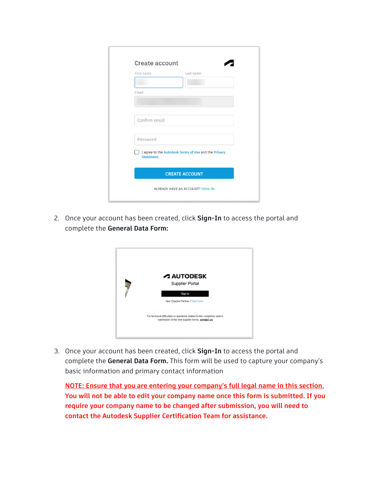| Create account |                                                      |
|----------------|------------------------------------------------------|
| First name     | Last name                                            |
|                |                                                      |
| Email          |                                                      |
|                |                                                      |
|                |                                                      |
| Confirm email  |                                                      |
|                |                                                      |
| Password       |                                                      |
| Statement.     | I agree to the Autodesk Terms of Use and the Privacy |
|                | <b>CREATE ACCOUNT</b>                                |
|                | ALREADY HAVE AN ACCOUNT? SIGN IN                     |

2. Once your account has been created, click **Sign-In** to access the portal and complete the **General Data Form:** 

| <b>A AUTODESK</b><br><b>Supplier Portal</b>                                                                                  |
|------------------------------------------------------------------------------------------------------------------------------|
| Sign in<br>New Channel Partner ? Start here                                                                                  |
| For technical difficulties or questions related to the completion and/or<br>submission of the new supplier forms, contact us |

3. Once your account has been created, click **Sign-In** to access the portal and complete the **General Data Form.** This form will be used to capture your company's basic information and primary contact information

**NOTE: Ensure that you are entering your company's full legal name in this section. You will not be able to edit your company name once this form is submitted. If you require your company name to be changed after submission, you will need to contact the Autodesk Supplier Certification Team for assistance.**